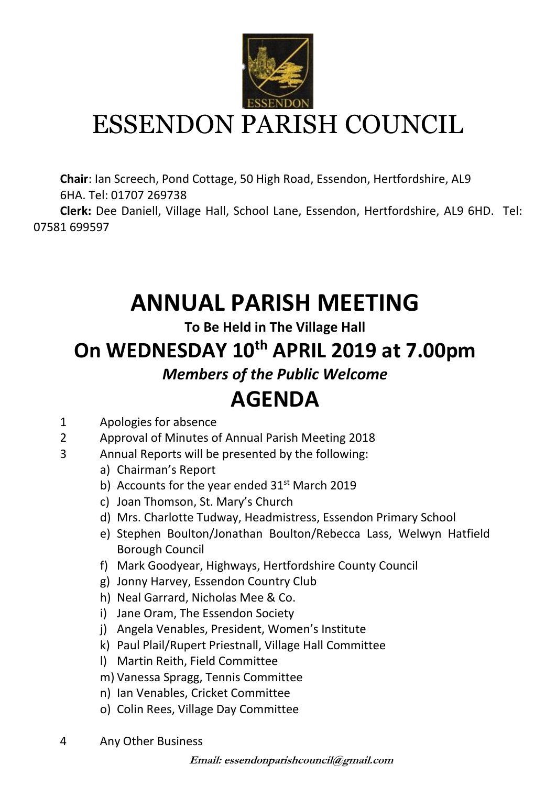

**Chair**: Ian Screech, Pond Cottage, 50 High Road, Essendon, Hertfordshire, AL9 6HA. Tel: 01707 269738

 **Clerk:** Dee Daniell, Village Hall, School Lane, Essendon, Hertfordshire, AL9 6HD. Tel: 07581 699597

### **ANNUAL PARISH MEETING**

**To Be Held in The Village Hall**

#### **On WEDNESDAY 10th APRIL 2019 at 7.00pm**

*Members of the Public Welcome*

#### **AGENDA**

- 1 Apologies for absence
- 2 Approval of Minutes of Annual Parish Meeting 2018
- 3 Annual Reports will be presented by the following:
	- a) Chairman's Report
	- b) Accounts for the year ended  $31<sup>st</sup>$  March 2019
	- c) Joan Thomson, St. Mary's Church
	- d) Mrs. Charlotte Tudway, Headmistress, Essendon Primary School
	- e) Stephen Boulton/Jonathan Boulton/Rebecca Lass, Welwyn Hatfield Borough Council
	- f) Mark Goodyear, Highways, Hertfordshire County Council
	- g) Jonny Harvey, Essendon Country Club
	- h) Neal Garrard, Nicholas Mee & Co.
	- i) Jane Oram, The Essendon Society
	- j) Angela Venables, President, Women's Institute
	- k) Paul Plail/Rupert Priestnall, Village Hall Committee
	- l) Martin Reith, Field Committee
	- m) Vanessa Spragg, Tennis Committee
	- n) Ian Venables, Cricket Committee
	- o) Colin Rees, Village Day Committee
- 4 Any Other Business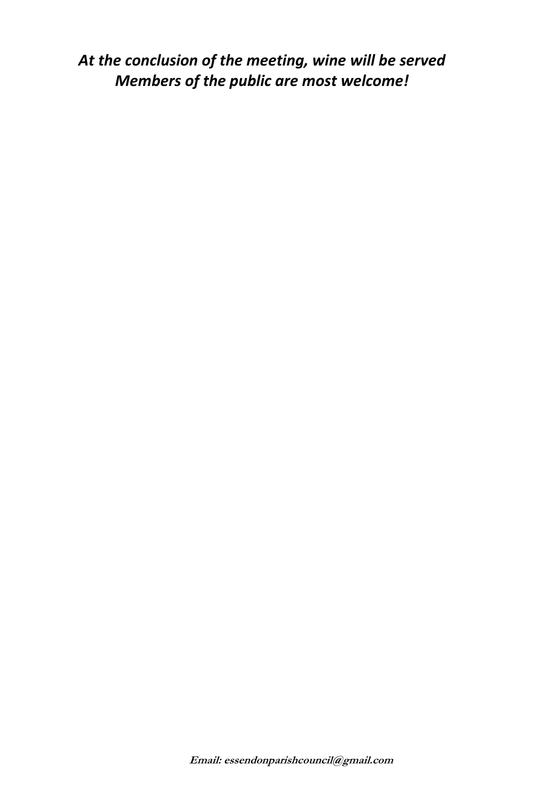*At the conclusion of the meeting, wine will be served Members of the public are most welcome!*